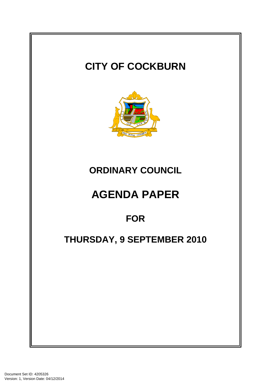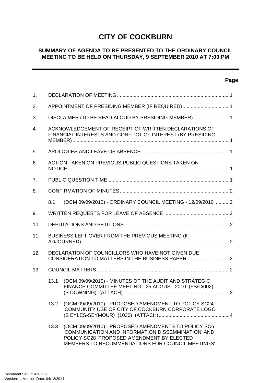## **CITY OF COCKBURN**

## **SUMMARY OF AGENDA TO BE PRESENTED TO THE ORDINARY COUNCIL MEETING TO BE HELD ON THURSDAY, 9 SEPTEMBER 2010 AT 7:00 PM**

## **Page**

-

| 1.               |                                                                                                                     |                                                                                                                                                                                                              |  |
|------------------|---------------------------------------------------------------------------------------------------------------------|--------------------------------------------------------------------------------------------------------------------------------------------------------------------------------------------------------------|--|
| 2.               | APPOINTMENT OF PRESIDING MEMBER (IF REQUIRED)1                                                                      |                                                                                                                                                                                                              |  |
| 3.               | DISCLAIMER (TO BE READ ALOUD BY PRESIDING MEMBER)1                                                                  |                                                                                                                                                                                                              |  |
| $\overline{4}$ . | ACKNOWLEDGEMENT OF RECEIPT OF WRITTEN DECLARATIONS OF<br>FINANCIAL INTERESTS AND CONFLICT OF INTEREST (BY PRESIDING |                                                                                                                                                                                                              |  |
| 5.               |                                                                                                                     |                                                                                                                                                                                                              |  |
| 6.               | ACTION TAKEN ON PREVIOUS PUBLIC QUESTIONS TAKEN ON                                                                  |                                                                                                                                                                                                              |  |
| 7.               |                                                                                                                     |                                                                                                                                                                                                              |  |
| 8.               |                                                                                                                     |                                                                                                                                                                                                              |  |
|                  | 8.1                                                                                                                 | (OCM 09/09/2010) - ORDINARY COUNCIL MEETING - 12/09/2010 2                                                                                                                                                   |  |
| 9.               |                                                                                                                     |                                                                                                                                                                                                              |  |
| 10.              |                                                                                                                     |                                                                                                                                                                                                              |  |
| 11.              | BUSINESS LEFT OVER FROM THE PREVIOUS MEETING (IF                                                                    |                                                                                                                                                                                                              |  |
| 12.              | DECLARATION OF COUNCILLORS WHO HAVE NOT GIVEN DUE                                                                   |                                                                                                                                                                                                              |  |
| 13.              |                                                                                                                     |                                                                                                                                                                                                              |  |
|                  | 13.1                                                                                                                | (OCM 09/09/2010) - MINUTES OF THE AUDIT AND STRATEGIC<br>FINANCE COMMITTEE MEETING - 25 AUGUST 2010 (FS/C/002)                                                                                               |  |
|                  | 13.2                                                                                                                | (OCM 09/09/2010) - PROPOSED AMENDMENT TO POLICY SC24<br>'COMMUNITY USE OF CITY OF COCKBURN CORPORATE LOGO'                                                                                                   |  |
|                  | 13.3                                                                                                                | (OCM 09/09/2010) - PROPOSED AMENDMENTS TO POLICY SC6<br>'COMMUNICATION AND INFORMATION DISSEMMINATION' AND<br>POLICY SC28 'PROPOSED AMENDMENT BY ELECTED<br>MEMBERS TO RECOMMENDATIONS FOR COUNCIL MEETINGS' |  |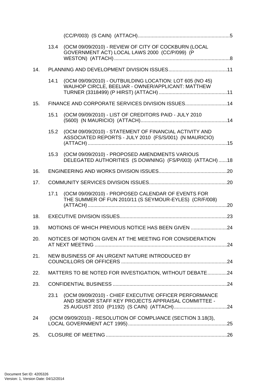|     | 13.4                                                     | (OCM 09/09/2010) - REVIEW OF CITY OF COCKBURN (LOCAL<br>GOVERNMENT ACT) LOCAL LAWS 2000 (CC/P/099) (P                 |  |  |
|-----|----------------------------------------------------------|-----------------------------------------------------------------------------------------------------------------------|--|--|
| 14. |                                                          |                                                                                                                       |  |  |
|     | 14.1                                                     | (OCM 09/09/2010) - OUTBUILDING LOCATION: LOT 605 (NO 45)<br>WAUHOP CIRCLE, BEELIAR - OWNER/APPLICANT: MATTHEW         |  |  |
| 15. |                                                          | FINANCE AND CORPORATE SERVICES DIVISION ISSUES14                                                                      |  |  |
|     | 15.1                                                     | (OCM 09/09/2010) - LIST OF CREDITORS PAID - JULY 2010                                                                 |  |  |
|     |                                                          | 15.2 (OCM 09/09/2010) - STATEMENT OF FINANCIAL ACTIVITY AND<br>ASSOCIATED REPORTS - JULY 2010 (FS/S/001) (N MAURICIO) |  |  |
|     | 15.3                                                     | (OCM 09/09/2010) - PROPOSED AMENDMENTS VARIOUS<br>DELEGATED AUTHORITIES (S DOWNING) (FS/P/003) (ATTACH)18             |  |  |
| 16. |                                                          |                                                                                                                       |  |  |
| 17. |                                                          |                                                                                                                       |  |  |
|     | 17.1                                                     | (OCM 09/09/2010) - PROPOSED CALENDAR OF EVENTS FOR<br>THE SUMMER OF FUN 2010/11 (S SEYMOUR-EYLES) (CR/F/008)          |  |  |
| 18. |                                                          |                                                                                                                       |  |  |
| 19. |                                                          | MOTIONS OF WHICH PREVIOUS NOTICE HAS BEEN GIVEN 24                                                                    |  |  |
| 20. | NOTICES OF MOTION GIVEN AT THE MEETING FOR CONSIDERATION |                                                                                                                       |  |  |
| 21. |                                                          | NEW BUSINESS OF AN URGENT NATURE INTRODUCED BY                                                                        |  |  |
| 22. |                                                          | MATTERS TO BE NOTED FOR INVESTIGATION, WITHOUT DEBATE24                                                               |  |  |
| 23. |                                                          |                                                                                                                       |  |  |
|     | 23.1                                                     | (OCM 09/09/2010) - CHIEF EXECUTIVE OFFICER PERFORMANCE<br>AND SENIOR STAFF KEY PROJECTS APPRAISAL COMMITTEE -         |  |  |
| 24  |                                                          | (OCM 09/09/2010) - RESOLUTION OF COMPLIANCE (SECTION 3.18(3),                                                         |  |  |
| 25. |                                                          |                                                                                                                       |  |  |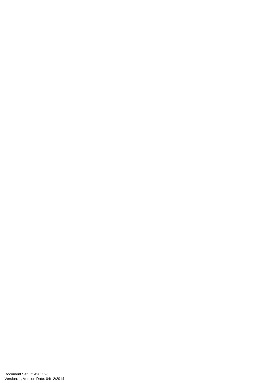Document Set ID: 4205326<br>Version: 1, Version Date: 04/12/2014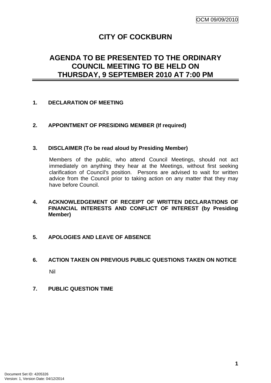## **CITY OF COCKBURN**

## <span id="page-4-0"></span>**AGENDA TO BE PRESENTED TO THE ORDINARY COUNCIL MEETING TO BE HELD ON THURSDAY, 9 SEPTEMBER 2010 AT 7:00 PM**

## **1. DECLARATION OF MEETING**

## **2. APPOINTMENT OF PRESIDING MEMBER (If required)**

#### **3. DISCLAIMER (To be read aloud by Presiding Member)**

Members of the public, who attend Council Meetings, should not act immediately on anything they hear at the Meetings, without first seeking clarification of Council's position. Persons are advised to wait for written advice from the Council prior to taking action on any matter that they may have before Council.

**4. ACKNOWLEDGEMENT OF RECEIPT OF WRITTEN DECLARATIONS OF FINANCIAL INTERESTS AND CONFLICT OF INTEREST (by Presiding Member)** 

## **5. APOLOGIES AND LEAVE OF ABSENCE**

## **6. ACTION TAKEN ON PREVIOUS PUBLIC QUESTIONS TAKEN ON NOTICE**

Nil

**7. PUBLIC QUESTION TIME**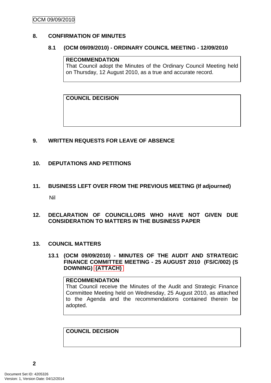## <span id="page-5-0"></span>OCM 09/09/2010

## **8. CONFIRMATION OF MINUTES**

#### **8.1 (OCM 09/09/2010) - ORDINARY COUNCIL MEETING - 12/09/2010**

### **RECOMMENDATION**

That Council adopt the Minutes of the Ordinary Council Meeting held on Thursday, 12 August 2010, as a true and accurate record.

**COUNCIL DECISION** 

## **9. WRITTEN REQUESTS FOR LEAVE OF ABSENCE**

## **10. DEPUTATIONS AND PETITIONS**

# **11. BUSINESS LEFT OVER FROM THE PREVIOUS MEETING (If adjourned)**

Nil

## **12. DECLARATION OF COUNCILLORS WHO HAVE NOT GIVEN DUE CONSIDERATION TO MATTERS IN THE BUSINESS PAPER**

## **13. COUNCIL MATTERS**

**13.1 (OCM 09/09/2010) - MINUTES OF THE AUDIT AND STRATEGIC FINANCE COMMITTEE MEETING - 25 AUGUST 2010 (FS/C/002) (S DOWNING) (ATTACH)** 

## **RECOMMENDATION**

That Council receive the Minutes of the Audit and Strategic Finance Committee Meeting held on Wednesday, 25 August 2010, as attached to the Agenda and the recommendations contained therein be adopted.

**COUNCIL DECISION**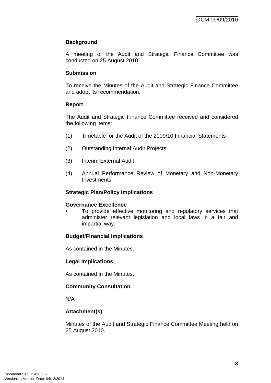## **Background**

A meeting of the Audit and Strategic Finance Committee was conducted on 25 August 2010.

## **Submission**

To receive the Minutes of the Audit and Strategic Finance Committee and adopt its recommendation.

## **Report**

The Audit and Strategic Finance Committee received and considered the following items:

- (1) Timetable for the Audit of the 2009/10 Financial Statements
- (2) Outstanding Internal Audit Projects
- (3) Interim External Audit
- (4) Annual Performance Review of Monetary and Non-Monetary **Investments**

## **Strategic Plan/Policy Implications**

## **Governance Excellence**

To provide effective monitoring and regulatory services that administer relevant legislation and local laws in a fair and impartial way.

## **Budget/Financial Implications**

As contained in the Minutes.

## **Legal Implications**

As contained in the Minutes.

## **Community Consultation**

N/A

## **Attachment(s)**

Minutes of the Audit and Strategic Finance Committee Meeting held on 25 August 2010.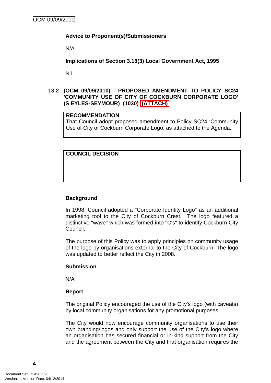## <span id="page-7-0"></span>**Advice to Proponent(s)/Submissioners**

N/A

**Implications of Section 3.18(3) Local Government Act, 1995**

Nil.

## **13.2 (OCM 09/09/2010) - PROPOSED AMENDMENT TO POLICY SC24 'COMMUNITY USE OF CITY OF COCKBURN CORPORATE LOGO' (S EYLES-SEYMOUR) (1030) (ATTACH)**

#### **RECOMMENDATION**

That Council adopt proposed amendment to Policy SC24 'Community Use of City of Cockburn Corporate Logo, as attached to the Agenda.

**COUNCIL DECISION** 

## **Background**

In 1998, Council adopted a "Corporate Identity Logo" as an additional marketing tool to the City of Cockburn Crest. The logo featured a distinctive "wave" which was formed into "C's" to identify Cockburn City Council.

The purpose of this Policy was to apply principles on community usage of the logo by organisations external to the City of Cockburn. The logo was updated to better reflect the City in 2008.

## **Submission**

N/A

## **Report**

The original Policy encouraged the use of the City's logo (with caveats) by local community organisations for any promotional purposes.

The City would now encourage community organisations to use their own branding/logos and only support the use of the City's logo where an organisation has secured financial or in-kind support from the City and the agreement between the City and that organisation requires the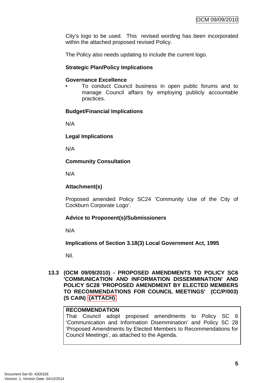<span id="page-8-0"></span>City's logo to be used. This revised wording has been incorporated within the attached proposed revised Policy.

The Policy also needs updating to include the current logo.

## **Strategic Plan/Policy Implications**

#### **Governance Excellence**

• To conduct Council business in open public forums and to manage Council affairs by employing publicly accountable practices.

## **Budget/Financial Implications**

N/A

**Legal Implications** 

N/A

## **Community Consultation**

N/A

## **Attachment(s)**

Proposed amended Policy SC24 'Community Use of the City of Cockburn Corporate Logo'.

## **Advice to Proponent(s)/Submissioners**

N/A

**Implications of Section 3.18(3) Local Government Act, 1995**

Nil.

## **13.3 (OCM 09/09/2010) - PROPOSED AMENDMENTS TO POLICY SC6 'COMMUNICATION AND INFORMATION DISSEMMINATION' AND POLICY SC28 'PROPOSED AMENDMENT BY ELECTED MEMBERS TO RECOMMENDATIONS FOR COUNCIL MEETINGS' (CC/P/003) (S CAIN) (ATTACH)**

## **RECOMMENDATION**

That Council adopt proposed amendments to Policy SC 6 'Communication and Information Disemmination' and Policy SC 28 'Proposed Amendments by Elected Members to Recommendations for Council Meetings', as attached to the Agenda.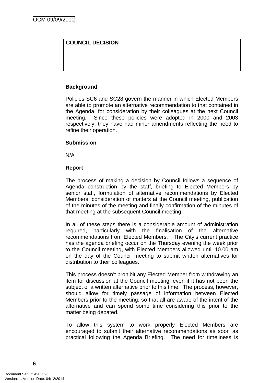## **COUNCIL DECISION**

## **Background**

Policies SC6 and SC28 govern the manner in which Elected Members are able to promote an alternative recommendation to that contained in the Agenda, for consideration by their colleagues at the next Council meeting. Since these policies were adopted in 2000 and 2003 respectively, they have had minor amendments reflecting the need to refine their operation.

#### **Submission**

N/A

## **Report**

The process of making a decision by Council follows a sequence of Agenda construction by the staff, briefing to Elected Members by senior staff, formulation of alternative recommendations by Elected Members, consideration of matters at the Council meeting, publication of the minutes of the meeting and finally confirmation of the minutes of that meeting at the subsequent Council meeting.

In all of these steps there is a considerable amount of administration required, particularly with the finalisation of the alternative recommendations from Elected Members. The City's current practice has the agenda briefing occur on the Thursday evening the week prior to the Council meeting, with Elected Members allowed until 10.00 am on the day of the Council meeting to submit written alternatives for distribution to their colleagues.

This process doesn't prohibit any Elected Member from withdrawing an item for discussion at the Council meeting, even if it has not been the subject of a written alternative prior to this time. The process, however, should allow for timely passage of information between Elected Members prior to the meeting, so that all are aware of the intent of the alternative and can spend some time considering this prior to the matter being debated.

To allow this system to work properly Elected Members are encouraged to submit their alternative recommendations as soon as practical following the Agenda Briefing. The need for timeliness is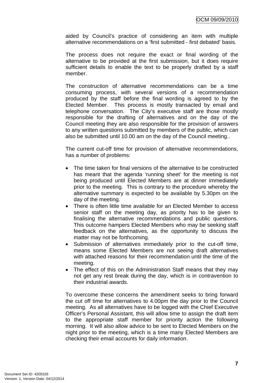aided by Council's practice of considering an item with multiple alternative recommendations on a 'first submitted - first debated' basis.

The process does not require the exact or final wording of the alternative to be provided at the first submission, but it does require sufficient details to enable the text to be properly drafted by a staff member.

The construction of alternative recommendations can be a time consuming process, with several versions of a recommendation produced by the staff before the final wording is agreed to by the Elected Member. This process is mostly transacted by email and telephone conversation. The City's executive staff are those mostly responsible for the drafting of alternatives and on the day of the Council meeting they are also responsible for the provision of answers to any written questions submitted by members of the public, which can also be submitted until 10.00 am on the day of the Council meeting..

The current cut-off time for provision of alternative recommendations, has a number of problems:

- The time taken for final versions of the alternative to be constructed has meant that the agenda 'running sheet' for the meeting is not being produced until Elected Members are at dinner immediately prior to the meeting. This is contrary to the procedure whereby the alternative summary is expected to be available by 5.30pm on the day of the meeting.
- There is often little time available for an Elected Member to access senior staff on the meeting day, as priority has to be given to finalising the alternative recommendations and public questions. This outcome hampers Elected Members who may be seeking staff feedback on the alternatives, as the opportunity to discuss the matter may not be forthcoming.
- Submission of alternatives immediately prior to the cut-off time, means some Elected Members are not seeing draft alternatives with attached reasons for their recommendation until the time of the meeting.
- The effect of this on the Administration Staff means that they may not get any rest break during the day, which is in contravention to their industrial awards.

To overcome these concerns the amendment seeks to bring forward the cut off time for alternatives to 4.00pm the day prior to the Council meeting. As all alternatives have to be logged with the Chief Executive Officer's Personal Assistant, this will allow time to assign the draft item to the appropriate staff member for priority action the following morning. It will also allow advice to be sent to Elected Members on the night prior to the meeting, which is a time many Elected Members are checking their email accounts for daily information.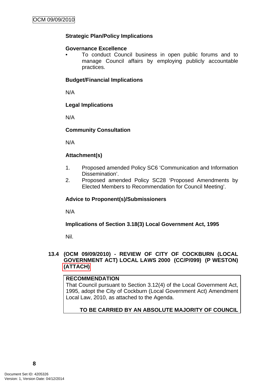## <span id="page-11-0"></span>**Strategic Plan/Policy Implications**

### **Governance Excellence**

• To conduct Council business in open public forums and to manage Council affairs by employing publicly accountable practices.

## **Budget/Financial Implications**

N/A

## **Legal Implications**

N/A

## **Community Consultation**

N/A

## **Attachment(s)**

- 1. Proposed amended Policy SC6 'Communication and Information Dissemination'.
- 2. Proposed amended Policy SC28 'Proposed Amendments by Elected Members to Recommendation for Council Meeting'.

## **Advice to Proponent(s)/Submissioners**

N/A

**Implications of Section 3.18(3) Local Government Act, 1995**

Nil.

## **13.4 (OCM 09/09/2010) - REVIEW OF CITY OF COCKBURN (LOCAL GOVERNMENT ACT) LOCAL LAWS 2000 (CC/P/099) (P WESTON) (ATTACH)**

## **RECOMMENDATION**

That Council pursuant to Section 3.12(4) of the Local Government Act, 1995, adopt the City of Cockburn (Local Government Act) Amendment Local Law, 2010, as attached to the Agenda.

## **TO BE CARRIED BY AN ABSOLUTE MAJORITY OF COUNCIL**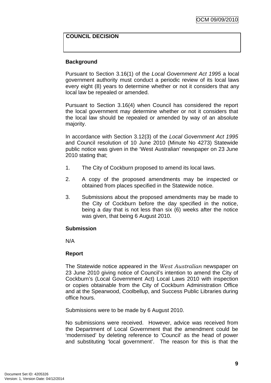## **COUNCIL DECISION**

## **Background**

Pursuant to Section 3.16(1) of the *Local Government Act 1995* a local government authority must conduct a periodic review of its local laws every eight (8) years to determine whether or not it considers that any local law be repealed or amended.

Pursuant to Section 3.16(4) when Council has considered the report the local government may determine whether or not it considers that the local law should be repealed or amended by way of an absolute majority.

In accordance with Section 3.12(3) of the *Local Government Act 1995*  and Council resolution of 10 June 2010 (Minute No 4273) Statewide public notice was given in the 'West Australian' newspaper on 23 June 2010 stating that;

- 1. The City of Cockburn proposed to amend its local laws.
- 2. A copy of the proposed amendments may be inspected or obtained from places specified in the Statewide notice.
- 3. Submissions about the proposed amendments may be made to the City of Cockburn before the day specified in the notice, being a day that is not less than six (6) weeks after the notice was given, that being 6 August 2010.

## **Submission**

N/A

## **Report**

The Statewide notice appeared in the *West Australian* newspaper on 23 June 2010 giving notice of Council's intention to amend the City of Cockburn's (Local Government Act) Local Laws 2010 with inspection or copies obtainable from the City of Cockburn Administration Office and at the Spearwood, Coolbellup, and Success Public Libraries during office hours.

Submissions were to be made by 6 August 2010.

No submissions were received. However, advice was received from the Department of Local Government that the amendment could be 'modernised' by deleting reference to 'Council' as the head of power and substituting 'local government'. The reason for this is that the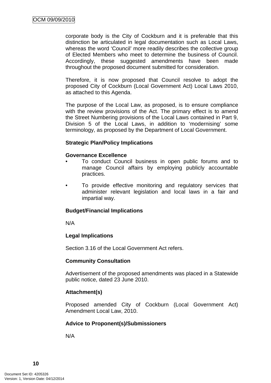corporate body is the City of Cockburn and it is preferable that this distinction be articulated in legal documentation such as Local Laws, whereas the word 'Council' more readily describes the collective group of Elected Members who meet to determine the business of Council. Accordingly, these suggested amendments have been made throughout the proposed document submitted for consideration.

Therefore, it is now proposed that Council resolve to adopt the proposed City of Cockburn (Local Government Act) Local Laws 2010, as attached to this Agenda.

The purpose of the Local Law, as proposed, is to ensure compliance with the review provisions of the Act. The primary effect is to amend the Street Numbering provisions of the Local Laws contained in Part 9, Division 5 of the Local Laws, in addition to 'modernising' some terminology, as proposed by the Department of Local Government.

#### **Strategic Plan/Policy Implications**

#### **Governance Excellence**

- To conduct Council business in open public forums and to manage Council affairs by employing publicly accountable practices.
- To provide effective monitoring and regulatory services that administer relevant legislation and local laws in a fair and impartial way.

## **Budget/Financial Implications**

N/A

## **Legal Implications**

Section 3.16 of the Local Government Act refers.

## **Community Consultation**

Advertisement of the proposed amendments was placed in a Statewide public notice, dated 23 June 2010.

## **Attachment(s)**

Proposed amended City of Cockburn (Local Government Act) Amendment Local Law, 2010.

## **Advice to Proponent(s)/Submissioners**

N/A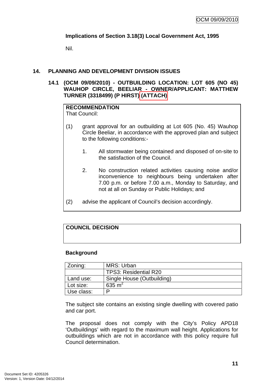## <span id="page-14-0"></span>**Implications of Section 3.18(3) Local Government Act, 1995**

Nil.

## **14. PLANNING AND DEVELOPMENT DIVISION ISSUES**

**14.1 (OCM 09/09/2010) - OUTBUILDING LOCATION: LOT 605 (NO 45) WAUHOP CIRCLE, BEELIAR - OWNER/APPLICANT: MATTHEW TURNER (3318499) (P HIRST) (ATTACH)** 

## **RECOMMENDATION**

That Council:

- (1) grant approval for an outbuilding at Lot 605 (No. 45) Wauhop Circle Beeliar, in accordance with the approved plan and subject to the following conditions:-
	- 1. All stormwater being contained and disposed of on-site to the satisfaction of the Council.
	- 2. No construction related activities causing noise and/or inconvenience to neighbours being undertaken after 7.00 p.m. or before 7.00 a.m., Monday to Saturday, and not at all on Sunday or Public Holidays; and
- (2) advise the applicant of Council's decision accordingly.

## **COUNCIL DECISION**

## **Background**

| Zoning:    | MRS: Urban                   |
|------------|------------------------------|
|            | <b>TPS3: Residential R20</b> |
| Land use:  | Single House (Outbuilding)   |
| Lot size:  | 635 $m2$                     |
| Use class: | D                            |

The subject site contains an existing single dwelling with covered patio and car port.

The proposal does not comply with the City's Policy APD18 'Outbuildings' with regard to the maximum wall height. Applications for outbuildings which are not in accordance with this policy require full Council determination.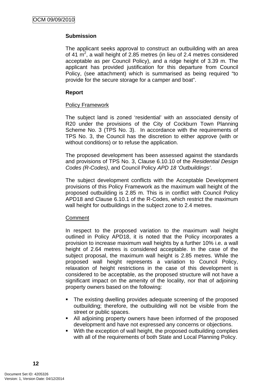## **Submission**

The applicant seeks approval to construct an outbuilding with an area of 41  $\mathrm{m}^2$ , a wall height of 2.85 metres (in lieu of 2.4 metres considered acceptable as per Council Policy), and a ridge height of 3.39 m. The applicant has provided justification for this departure from Council Policy, (see attachment) which is summarised as being required "to provide for the secure storage for a camper and boat".

## **Report**

## Policy Framework

The subject land is zoned 'residential' with an associated density of R20 under the provisions of the City of Cockburn Town Planning Scheme No. 3 (TPS No. 3). In accordance with the requirements of TPS No. 3, the Council has the discretion to either approve (with or without conditions) or to refuse the application.

The proposed development has been assessed against the standards and provisions of TPS No. 3, Clause 6.10.10 of the *Residential Design Codes (R-Codes)*, and Council Policy *APD 18 'Outbuildings'*.

The subject development conflicts with the Acceptable Development provisions of this Policy Framework as the maximum wall height of the proposed outbuilding is 2.85 m. This is in conflict with Council Policy APD18 and Clause 6.10.1 of the R-Codes, which restrict the maximum wall height for outbuildings in the subject zone to 2.4 metres.

## **Comment**

In respect to the proposed variation to the maximum wall height outlined in Policy APD18, it is noted that the Policy incorporates a provision to increase maximum wall heights by a further 10% i.e. a wall height of 2.64 metres is considered acceptable. In the case of the subject proposal, the maximum wall height is 2.85 metres. While the proposed wall height represents a variation to Council Policy, relaxation of height restrictions in the case of this development is considered to be acceptable, as the proposed structure will not have a significant impact on the amenity of the locality, nor that of adjoining property owners based on the following:

- The existing dwelling provides adequate screening of the proposed outbuilding; therefore, the outbuilding will not be visible from the street or public spaces.
- All adjoining property owners have been informed of the proposed development and have not expressed any concerns or objections.
- With the exception of wall height, the proposed outbuilding complies with all of the requirements of both State and Local Planning Policy.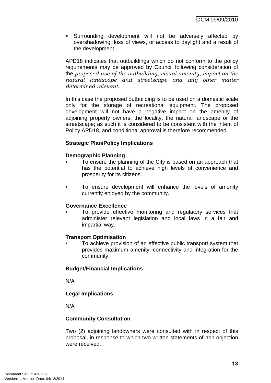Surrounding development will not be adversely affected by overshadowing, loss of views, or access to daylight and a result of the development.

APD18 indicates that outbuildings which do not conform to the policy requirements may be approved by Council following consideration of the *proposed use of the outbuilding, visual amenity, impact on the natural landscape and streetscape and any other matter determined relevant*.

In this case the proposed outbuilding is to be used on a domestic scale only for the storage of recreational equipment. The proposed development will not have a negative impact on the amenity of adjoining property owners, the locality, the natural landscape or the streetscape; as such it is considered to be consistent with the intent of Policy APD18, and conditional approval is therefore recommended.

## **Strategic Plan/Policy Implications**

## **Demographic Planning**

- To ensure the planning of the City is based on an approach that has the potential to achieve high levels of convenience and prosperity for its citizens.
- To ensure development will enhance the levels of amenity currently enjoyed by the community.

## **Governance Excellence**

To provide effective monitoring and regulatory services that administer relevant legislation and local laws in a fair and impartial way.

## **Transport Optimisation**

• To achieve provision of an effective public transport system that provides maximum amenity, connectivity and integration for the community.

## **Budget/Financial Implications**

N/A

## **Legal Implications**

N/A

## **Community Consultation**

Two (2) adjoining landowners were consulted with in respect of this proposal, in response to which two written statements of non objection were received.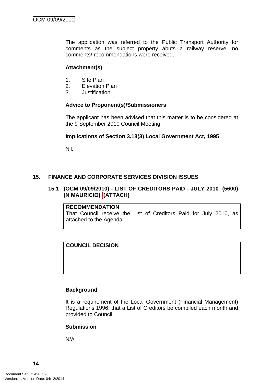<span id="page-17-0"></span>The application was referred to the Public Transport Authority for comments as the subject property abuts a railway reserve, no comments/ recommendations were received.

## **Attachment(s)**

- 1. Site Plan
- 2. Elevation Plan
- 3. Justification

## **Advice to Proponent(s)/Submissioners**

The applicant has been advised that this matter is to be considered at the 9 September 2010 Council Meeting.

## **Implications of Section 3.18(3) Local Government Act, 1995**

Nil.

## **15. FINANCE AND CORPORATE SERVICES DIVISION ISSUES**

## **15.1 (OCM 09/09/2010) - LIST OF CREDITORS PAID - JULY 2010 (5600) (N MAURICIO) (ATTACH)**

#### **RECOMMENDATION**

That Council receive the List of Creditors Paid for July 2010, as attached to the Agenda.

## **COUNCIL DECISION**

## **Background**

It is a requirement of the Local Government (Financial Management) Regulations 1996, that a List of Creditors be compiled each month and provided to Council.

## **Submission**

N/A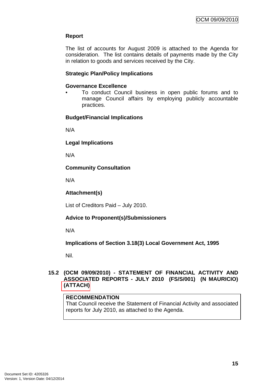## <span id="page-18-0"></span>**Report**

The list of accounts for August 2009 is attached to the Agenda for consideration. The list contains details of payments made by the City in relation to goods and services received by the City.

## **Strategic Plan/Policy Implications**

## **Governance Excellence**

• To conduct Council business in open public forums and to manage Council affairs by employing publicly accountable practices.

## **Budget/Financial Implications**

N/A

**Legal Implications** 

N/A

## **Community Consultation**

N/A

## **Attachment(s)**

List of Creditors Paid – July 2010.

## **Advice to Proponent(s)/Submissioners**

N/A

**Implications of Section 3.18(3) Local Government Act, 1995**

Nil.

## **15.2 (OCM 09/09/2010) - STATEMENT OF FINANCIAL ACTIVITY AND ASSOCIATED REPORTS - JULY 2010 (FS/S/001) (N MAURICIO) (ATTACH)**

## **RECOMMENDATION**

That Council receive the Statement of Financial Activity and associated reports for July 2010, as attached to the Agenda.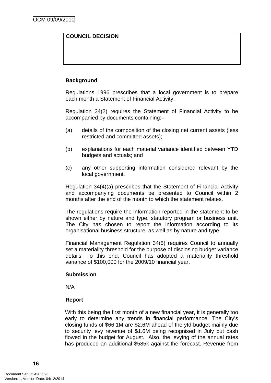## **COUNCIL DECISION**

## **Background**

Regulations 1996 prescribes that a local government is to prepare each month a Statement of Financial Activity.

Regulation 34(2) requires the Statement of Financial Activity to be accompanied by documents containing:–

- (a) details of the composition of the closing net current assets (less restricted and committed assets);
- (b) explanations for each material variance identified between YTD budgets and actuals; and
- (c) any other supporting information considered relevant by the local government.

Regulation 34(4)(a) prescribes that the Statement of Financial Activity and accompanying documents be presented to Council within 2 months after the end of the month to which the statement relates.

The regulations require the information reported in the statement to be shown either by nature and type, statutory program or business unit. The City has chosen to report the information according to its organisational business structure, as well as by nature and type.

Financial Management Regulation 34(5) requires Council to annually set a materiality threshold for the purpose of disclosing budget variance details. To this end, Council has adopted a materiality threshold variance of \$100,000 for the 2009/10 financial year.

## **Submission**

N/A

## **Report**

With this being the first month of a new financial year, it is generally too early to determine any trends in financial performance. The City's closing funds of \$66.1M are \$2.6M ahead of the ytd budget mainly due to security levy revenue of \$1.6M being recognised in July but cash flowed in the budget for August. Also, the levying of the annual rates has produced an additional \$585k against the forecast. Revenue from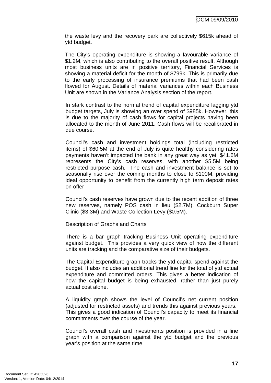the waste levy and the recovery park are collectively \$615k ahead of ytd budget.

The City's operating expenditure is showing a favourable variance of \$1.2M, which is also contributing to the overall positive result. Although most business units are in positive territory, Financial Services is showing a material deficit for the month of \$799k. This is primarily due to the early processing of insurance premiums that had been cash flowed for August. Details of material variances within each Business Unit are shown in the Variance Analysis section of the report.

In stark contrast to the normal trend of capital expenditure lagging ytd budget targets, July is showing an over spend of \$985k. However, this is due to the majority of cash flows for capital projects having been allocated to the month of June 2011. Cash flows will be recalibrated in due course.

Council's cash and investment holdings total (including restricted items) of \$60.5M at the end of July is quite healthy considering rates payments haven't impacted the bank in any great way as yet. \$41.6M represents the City's cash reserves, with another \$5.5M being restricted purpose cash. The cash and investment balance is set to seasonally rise over the coming months to close to \$100M, providing ideal opportunity to benefit from the currently high term deposit rates on offer

Council's cash reserves have grown due to the recent addition of three new reserves, namely POS cash in lieu (\$2.7M), Cockburn Super Clinic (\$3.3M) and Waste Collection Levy (\$0.5M).

#### Description of Graphs and Charts

There is a bar graph tracking Business Unit operating expenditure against budget. This provides a very quick view of how the different units are tracking and the comparative size of their budgets.

The Capital Expenditure graph tracks the ytd capital spend against the budget. It also includes an additional trend line for the total of ytd actual expenditure and committed orders. This gives a better indication of how the capital budget is being exhausted, rather than just purely actual cost alone.

A liquidity graph shows the level of Council's net current position (adjusted for restricted assets) and trends this against previous years. This gives a good indication of Council's capacity to meet its financial commitments over the course of the year.

Council's overall cash and investments position is provided in a line graph with a comparison against the ytd budget and the previous year's position at the same time.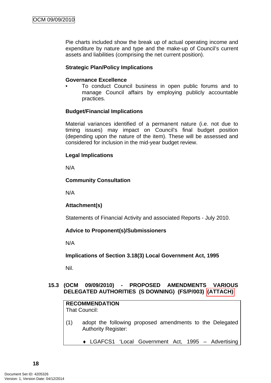<span id="page-21-0"></span>Pie charts included show the break up of actual operating income and expenditure by nature and type and the make-up of Council's current assets and liabilities (comprising the net current position).

## **Strategic Plan/Policy Implications**

### **Governance Excellence**

• To conduct Council business in open public forums and to manage Council affairs by employing publicly accountable practices.

## **Budget/Financial Implications**

Material variances identified of a permanent nature (i.e. not due to timing issues) may impact on Council's final budget position (depending upon the nature of the item). These will be assessed and considered for inclusion in the mid-year budget review.

## **Legal Implications**

N/A

## **Community Consultation**

N/A

## **Attachment(s)**

Statements of Financial Activity and associated Reports - July 2010.

## **Advice to Proponent(s)/Submissioners**

N/A

## **Implications of Section 3.18(3) Local Government Act, 1995**

Nil.

## **15.3 (OCM 09/09/2010) - PROPOSED AMENDMENTS VARIOUS DELEGATED AUTHORITIES (S DOWNING) (FS/P/003) (ATTACH)**

**RECOMMENDATION** That Council:

- (1) adopt the following proposed amendments to the Delegated Authority Register:
	- ♦ LGAFCS1 'Local Government Act, 1995 Advertising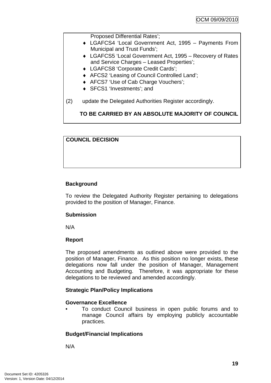Proposed Differential Rates';

- ♦ LGAFCS4 'Local Government Act, 1995 Payments From Municipal and Trust Funds';
- ♦ LGAFCS5 'Local Government Act, 1995 Recovery of Rates and Service Charges – Leased Properties';
- ♦ LGAFCS8 'Corporate Credit Cards';
- ♦ AFCS2 'Leasing of Council Controlled Land';
- ♦ AFCS7 'Use of Cab Charge Vouchers';
- ♦ SFCS1 'Investments'; and
- (2) update the Delegated Authorities Register accordingly.

## **TO BE CARRIED BY AN ABSOLUTE MAJORITY OF COUNCIL**

## **COUNCIL DECISION**

## **Background**

To review the Delegated Authority Register pertaining to delegations provided to the position of Manager, Finance.

## **Submission**

N/A

## **Report**

The proposed amendments as outlined above were provided to the position of Manager, Finance. As this position no longer exists, these delegations now fall under the position of Manager, Management Accounting and Budgeting. Therefore, it was appropriate for these delegations to be reviewed and amended accordingly.

## **Strategic Plan/Policy Implications**

## **Governance Excellence**

• To conduct Council business in open public forums and to manage Council affairs by employing publicly accountable practices.

## **Budget/Financial Implications**

N/A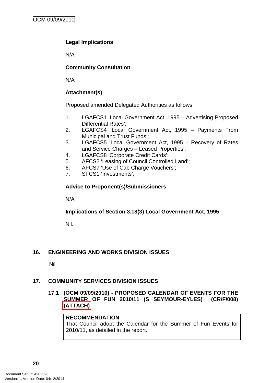## <span id="page-23-0"></span>**Legal Implications**

N/A

## **Community Consultation**

N/A

## **Attachment(s)**

Proposed amended Delegated Authorities as follows:

- 1. LGAFCS1 'Local Government Act, 1995 Advertising Proposed Differential Rates';
- 2. LGAFCS4 'Local Government Act, 1995 Payments From Municipal and Trust Funds';
- 3. LGAFCS5 'Local Government Act, 1995 Recovery of Rates and Service Charges – Leased Properties';
- 4. LGAFCS8 'Corporate Credit Cards';
- 5. AFCS2 'Leasing of Council Controlled Land';
- 6. AFCS7 'Use of Cab Charge Vouchers';
- 7. SFCS1 'Investments';

## **Advice to Proponent(s)/Submissioners**

N/A

**Implications of Section 3.18(3) Local Government Act, 1995**

Nil.

## **16. ENGINEERING AND WORKS DIVISION ISSUES**

Nil

## **17. COMMUNITY SERVICES DIVISION ISSUES**

**17.1 (OCM 09/09/2010) - PROPOSED CALENDAR OF EVENTS FOR THE SUMMER OF FUN 2010/11 (S SEYMOUR-EYLES) (CR/F/008) (ATTACH)** 

## **RECOMMENDATION**

That Council adopt the Calendar for the Summer of Fun Events for 2010/11, as detailed in the report.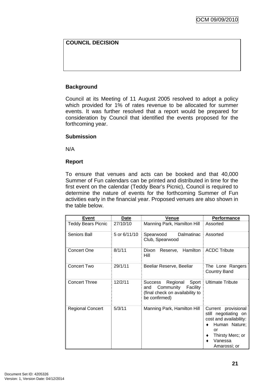## **COUNCIL DECISION**

## **Background**

Council at its Meeting of 11 August 2005 resolved to adopt a policy which provided for 1% of rates revenue to be allocated for summer events. It was further resolved that a report would be prepared for consideration by Council that identified the events proposed for the forthcoming year.

## **Submission**

N/A

## **Report**

To ensure that venues and acts can be booked and that 40,000 Summer of Fun calendars can be printed and distributed in time for the first event on the calendar (Teddy Bear's Picnic), Council is required to determine the nature of events for the forthcoming Summer of Fun activities early in the financial year. Proposed venues are also shown in the table below.

| <b>Event</b>              | <b>Date</b>  | Venue                                                                                                                   | Performance                                                                                                                                 |
|---------------------------|--------------|-------------------------------------------------------------------------------------------------------------------------|---------------------------------------------------------------------------------------------------------------------------------------------|
| <b>Teddy Bears Picnic</b> | 27/10/10     | Manning Park, Hamilton Hill                                                                                             | Assorted                                                                                                                                    |
| <b>Seniors Ball</b>       | 5 or 6/11/10 | Dalmatinac<br>Spearwood<br>Club, Spearwood                                                                              | Assorted                                                                                                                                    |
| <b>Concert One</b>        | 8/1/11       | Hamilton<br>Dixon<br>Reserve,<br>Hill                                                                                   | <b>ACDC Tribute</b>                                                                                                                         |
| <b>Concert Two</b>        | 29/1/11      | Beeliar Reserve, Beeliar                                                                                                | The Lone Rangers<br><b>Country Band</b>                                                                                                     |
| <b>Concert Three</b>      | 12/2/11      | Regional<br>Sport<br><b>Success</b><br>Community<br>Facility<br>and<br>(final check on availability to<br>be confirmed) | <b>Ultimate Tribute</b>                                                                                                                     |
| <b>Regional Concert</b>   | 5/3/11       | Manning Park, Hamilton Hill                                                                                             | Current provisional<br>still negotiating on<br>cost and availability:<br>Human Nature;<br>Ωr<br>Thirsty Merc; or<br>Vanessa<br>Amarossi; or |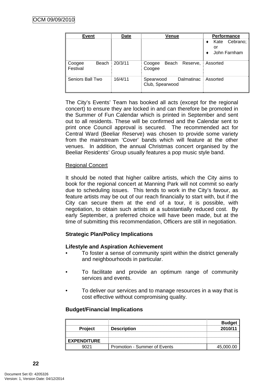| <b>Event</b>                | <b>Date</b> | Venue                                      | Performance                              |  |
|-----------------------------|-------------|--------------------------------------------|------------------------------------------|--|
|                             |             |                                            | Kate Cebrano;<br>٠<br>or<br>John Farnham |  |
| Beach<br>Coogee<br>Festival | 20/3/11     | Beach<br>Reserve,<br>Coogee<br>Coogee      | Assorted                                 |  |
| Seniors Ball Two            | 16/4/11     | Dalmatinac<br>Spearwood<br>Club, Spearwood | Assorted                                 |  |

The City's Events' Team has booked all acts (except for the regional concert) to ensure they are locked in and can therefore be promoted in the Summer of Fun Calendar which is printed in September and sent out to all residents. These will be confirmed and the Calendar sent to print once Council approval is secured. The recommended act for Central Ward (Beeliar Reserve) was chosen to provide some variety from the mainstream 'Cover' bands which will feature at the other venues. In addition, the annual Christmas concert organised by the Beeliar Residents' Group usually features a pop music style band.

## Regional Concert

It should be noted that higher calibre artists, which the City aims to book for the regional concert at Manning Park will not commit so early due to scheduling issues. This tends to work in the City's favour, as feature artists may be out of our reach financially to start with, but if the City can secure them at the end of a tour, it is possible, with negotiation, to obtain such artists at a substantially reduced cost. By early September, a preferred choice will have been made, but at the time of submitting this recommendation, Officers are still in negotiation.

## **Strategic Plan/Policy Implications**

## **Lifestyle and Aspiration Achievement**

- To foster a sense of community spirit within the district generally and neighbourhoods in particular.
- To facilitate and provide an optimum range of community services and events.
- To deliver our services and to manage resources in a way that is cost effective without compromising quality.

## **Budget/Financial Implications**

|                    |                              | <b>Budget</b> |
|--------------------|------------------------------|---------------|
| <b>Project</b>     | <b>Description</b>           | 2010/11       |
|                    |                              |               |
| <b>EXPENDITURE</b> |                              |               |
| วกวา               | Promotion - Summer of Events | 45,000.0      |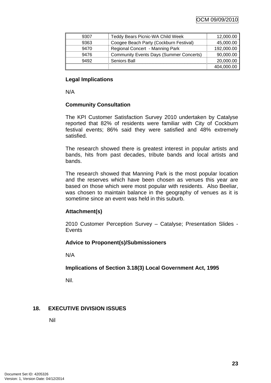<span id="page-26-0"></span>

| 9307 | <b>Teddy Bears Picnic-WA Child Week</b>        | 12,000.00  |
|------|------------------------------------------------|------------|
| 9363 | Coogee Beach Party (Cockburn Festival)         | 45,000.00  |
| 9470 | Regional Concert - Manning Park                | 192,000.00 |
| 9476 | <b>Community Events Days (Summer Concerts)</b> | 90,000.00  |
| 9492 | <b>Seniors Ball</b>                            | 20,000.00  |
|      |                                                | 404,000.00 |

## **Legal Implications**

N/A

## **Community Consultation**

The KPI Customer Satisfaction Survey 2010 undertaken by Catalyse reported that 82% of residents were familiar with City of Cockburn festival events; 86% said they were satisfied and 48% extremely satisfied.

The research showed there is greatest interest in popular artists and bands, hits from past decades, tribute bands and local artists and bands.

The research showed that Manning Park is the most popular location and the reserves which have been chosen as venues this year are based on those which were most popular with residents. Also Beeliar, was chosen to maintain balance in the geography of venues as it is sometime since an event was held in this suburb.

## **Attachment(s)**

2010 Customer Perception Survey – Catalyse; Presentation Slides - **Events** 

## **Advice to Proponent(s)/Submissioners**

N/A

## **Implications of Section 3.18(3) Local Government Act, 1995**

Nil.

## **18. EXECUTIVE DIVISION ISSUES**

Nil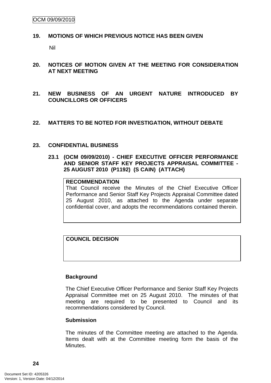<span id="page-27-0"></span>OCM 09/09/2010

#### **19. MOTIONS OF WHICH PREVIOUS NOTICE HAS BEEN GIVEN**

Nil

- **20. NOTICES OF MOTION GIVEN AT THE MEETING FOR CONSIDERATION AT NEXT MEETING**
- **21. NEW BUSINESS OF AN URGENT NATURE INTRODUCED BY COUNCILLORS OR OFFICERS**
- **22. MATTERS TO BE NOTED FOR INVESTIGATION, WITHOUT DEBATE**

#### **23. CONFIDENTIAL BUSINESS**

**23.1 (OCM 09/09/2010) - CHIEF EXECUTIVE OFFICER PERFORMANCE AND SENIOR STAFF KEY PROJECTS APPRAISAL COMMITTEE - 25 AUGUST 2010 (P1192) (S CAIN) (ATTACH)** 

#### **RECOMMENDATION**

That Council receive the Minutes of the Chief Executive Officer Performance and Senior Staff Key Projects Appraisal Committee dated 25 August 2010, as attached to the Agenda under separate confidential cover, and adopts the recommendations contained therein.

## **COUNCIL DECISION**

## **Background**

The Chief Executive Officer Performance and Senior Staff Key Projects Appraisal Committee met on 25 August 2010. The minutes of that meeting are required to be presented to Council and its recommendations considered by Council.

#### **Submission**

The minutes of the Committee meeting are attached to the Agenda. Items dealt with at the Committee meeting form the basis of the **Minutes**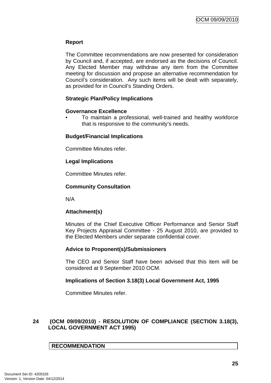## <span id="page-28-0"></span>**Report**

The Committee recommendations are now presented for consideration by Council and, if accepted, are endorsed as the decisions of Council. Any Elected Member may withdraw any item from the Committee meeting for discussion and propose an alternative recommendation for Council's consideration. Any such items will be dealt with separately, as provided for in Council's Standing Orders.

## **Strategic Plan/Policy Implications**

## **Governance Excellence**

• To maintain a professional, well-trained and healthy workforce that is responsive to the community's needs.

## **Budget/Financial Implications**

Committee Minutes refer.

## **Legal Implications**

Committee Minutes refer.

## **Community Consultation**

N/A

## **Attachment(s)**

Minutes of the Chief Executive Officer Performance and Senior Staff Key Projects Appraisal Committee - 25 August 2010, are provided to the Elected Members under separate confidential cover.

## **Advice to Proponent(s)/Submissioners**

The CEO and Senior Staff have been advised that this item will be considered at 9 September 2010 OCM.

## **Implications of Section 3.18(3) Local Government Act, 1995**

Committee Minutes refer.

## **24 (OCM 09/09/2010) - RESOLUTION OF COMPLIANCE (SECTION 3.18(3), LOCAL GOVERNMENT ACT 1995)**

## **RECOMMENDATION**